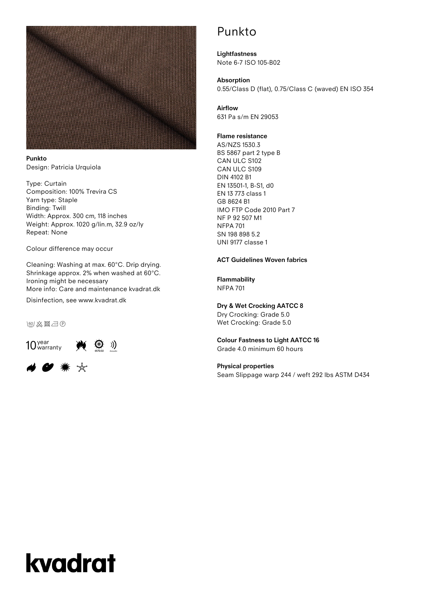

**Punkto** Design: Patricia Urquiola

Type: Curtain Composition: 100% Trevira CS Yarn type: Staple Binding: Twill Width: Approx. 300 cm, 118 inches Weight: Approx. 1020 g/lin.m, 32.9 oz/ly Repeat: None

Colour difference may occur

Cleaning: Washing at max. 60°C. Drip drying. Shrinkage approx. 2% when washed at 60°C. Ironing might be necessary More info: Care and maintenance kvadrat.dk

Disinfection, see www.kvadrat.dk

**Feol 公図二の** 



## # ● ☀ ☆

## Punkto

**Lightfastness** Note 6-7 ISO 105-B02

**Absorption** 0.55/Class D (flat), 0.75/Class C (waved) EN ISO 354

**Airflow** 631 Pa s/m EN 29053

### **Flame resistance**

AS/NZS 1530.3 BS 5867 part 2 type B CAN ULC S102 CAN ULC S109 DIN 4102 B1 EN 13501-1, B-S1, d0 EN 13 773 class 1 GB 8624 B1 IMO FTP Code 2010 Part 7 NF P 92 507 M1 NFPA 701 SN 198 898 5.2 UNI 9177 classe 1

### **ACT Guidelines Woven fabrics**

### **Flammability**

NFPA 701

### **Dry & Wet Crocking AATCC 8**

Dry Crocking: Grade 5.0 Wet Crocking: Grade 5.0

### **Colour Fastness to Light AATCC 16**

Grade 4.0 minimum 60 hours

### **Physical properties**

Seam Slippage warp 244 / weft 292 lbs ASTM D434

# kvadrat